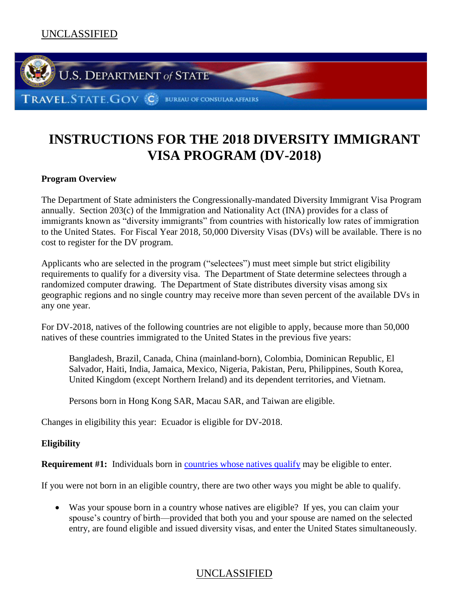

# **INSTRUCTIONS FOR THE 2018 DIVERSITY IMMIGRANT VISA PROGRAM (DV-2018)**

### **Program Overview**

The Department of State administers the Congressionally-mandated Diversity Immigrant Visa Program annually. Section 203(c) of the Immigration and Nationality Act (INA) provides for a class of immigrants known as "diversity immigrants" from countries with historically low rates of immigration to the United States. For Fiscal Year 2018, 50,000 Diversity Visas (DVs) will be available. There is no cost to register for the DV program.

Applicants who are selected in the program ("selectees") must meet simple but strict eligibility requirements to qualify for a diversity visa. The Department of State determine selectees through a randomized computer drawing. The Department of State distributes diversity visas among six geographic regions and no single country may receive more than seven percent of the available DVs in any one year.

For DV-2018, natives of the following countries are not eligible to apply, because more than 50,000 natives of these countries immigrated to the United States in the previous five years:

Bangladesh, Brazil, Canada, China (mainland-born), Colombia, Dominican Republic, El Salvador, Haiti, India, Jamaica, Mexico, Nigeria, Pakistan, Peru, Philippines, South Korea, United Kingdom (except Northern Ireland) and its dependent territories, and Vietnam.

Persons born in Hong Kong SAR, Macau SAR, and Taiwan are eligible.

Changes in eligibility this year: Ecuador is eligible for DV-2018.

### **Eligibility**

**Requirement #1:** Individuals born in [countries whose natives qualify](#page-15-0) may be eligible to enter.

If you were not born in an eligible country, there are two other ways you might be able to qualify.

 Was your spouse born in a country whose natives are eligible? If yes, you can claim your spouse's country of birth—provided that both you and your spouse are named on the selected entry, are found eligible and issued diversity visas, and enter the United States simultaneously.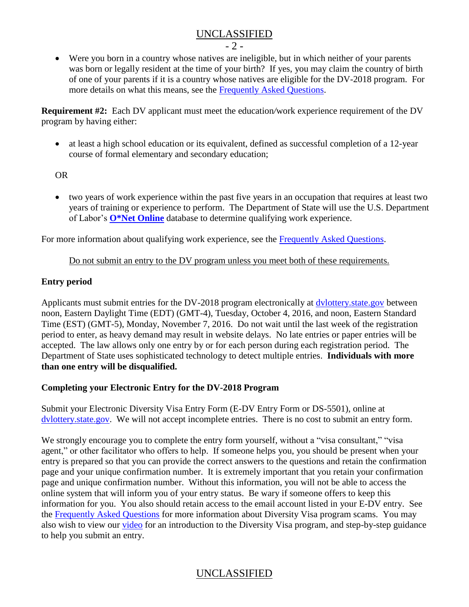- 2 -

 Were you born in a country whose natives are ineligible, but in which neither of your parents was born or legally resident at the time of your birth? If yes, you may claim the country of birth of one of your parents if it is a country whose natives are eligible for the DV-2018 program. For more details on what this means, see the [Frequently Asked Questions.](#page-7-0)

**Requirement #2:** Each DV applicant must meet the education*/*work experience requirement of the DV program by having either:

• at least a high school education or its equivalent, defined as successful completion of a 12-year course of formal elementary and secondary education;

OR

 two years of work experience within the past five years in an occupation that requires at least two years of training or experience to perform. The Department of State will use the U.S. Department of Labor's **[O\\*Net Online](http://online.onetcenter.org/)** database to determine qualifying work experience.

For more information about qualifying work experience, see the **Frequently Asked Questions**.

### Do not submit an entry to the DV program unless you meet both of these requirements.

### **Entry period**

Applicants must submit entries for the DV-2018 program electronically at [dvlottery.state.gov](https://www.dvlottery.state.gov/) between noon, Eastern Daylight Time (EDT) (GMT-4), Tuesday, October 4, 2016, and noon, Eastern Standard Time (EST) (GMT-5), Monday, November 7, 2016. Do not wait until the last week of the registration period to enter, as heavy demand may result in website delays. No late entries or paper entries will be accepted. The law allows only one entry by or for each person during each registration period. The Department of State uses sophisticated technology to detect multiple entries. **Individuals with more than one entry will be disqualified.**

### **Completing your Electronic Entry for the DV-2018 Program**

Submit your Electronic Diversity Visa Entry Form (E-DV Entry Form or DS-5501), online at [dvlottery.state.gov.](https://www.dvlottery.state.gov/) We will not accept incomplete entries. There is no cost to submit an entry form.

We strongly encourage you to complete the entry form yourself, without a "visa consultant," "visa" agent," or other facilitator who offers to help. If someone helps you, you should be present when your entry is prepared so that you can provide the correct answers to the questions and retain the confirmation page and your unique confirmation number. It is extremely important that you retain your confirmation page and unique confirmation number. Without this information, you will not be able to access the online system that will inform you of your entry status. Be wary if someone offers to keep this information for you. You also should retain access to the email account listed in your E-DV entry. See the [Frequently Asked Questions](#page-14-0) for more information about Diversity Visa program scams. You may also wish to view our [video](https://www.youtube.com/watch?v=tOQlh2d2EbQ) for an introduction to the Diversity Visa program, and step-by-step guidance to help you submit an entry.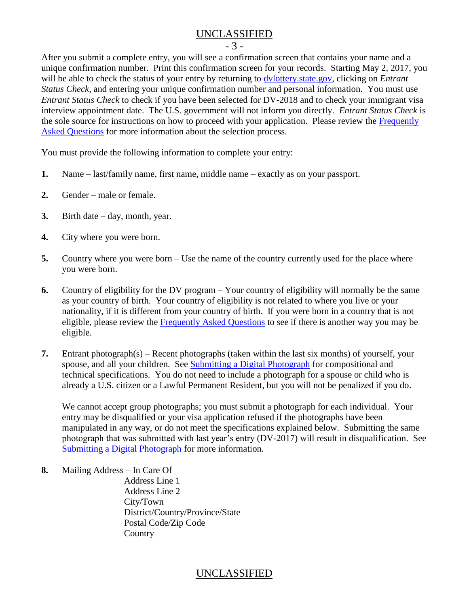- 3 -

After you submit a complete entry, you will see a confirmation screen that contains your name and a unique confirmation number. Print this confirmation screen for your records. Starting May 2, 2017, you will be able to check the status of your entry by returning to [dvlottery.state.gov,](https://www.dvlottery.state.gov/) clicking on *Entrant Status Check*, and entering your unique confirmation number and personal information. You must use *Entrant Status Check* to check if you have been selected for DV-2018 and to check your immigrant visa interview appointment date. The U.S. government will not inform you directly. *Entrant Status Check* is the sole source for instructions on how to proceed with your application. Please review the [Frequently](#page-11-0)  [Asked Questions](#page-11-0) for more information about the selection process.

You must provide the following information to complete your entry:

- **1.** Name last/family name, first name, middle name exactly as on your passport.
- **2.** Gender male or female.
- **3.** Birth date day, month, year.
- **4.** City where you were born.
- **5.** Country where you were born Use the name of the country currently used for the place where you were born.
- **6.** Country of eligibility for the DV program Your country of eligibility will normally be the same as your country of birth. Your country of eligibility is not related to where you live or your nationality, if it is different from your country of birth. If you were born in a country that is not eligible, please review the [Frequently Asked Questions](#page-7-1) to see if there is another way you may be eligible.
- **7.** Entrant photograph(s) Recent photographs (taken within the last six months) of yourself, your spouse, and all your children. See **Submitting a Digital Photograph** for compositional and technical specifications. You do not need to include a photograph for a spouse or child who is already a U.S. citizen or a Lawful Permanent Resident, but you will not be penalized if you do.

We cannot accept group photographs; you must submit a photograph for each individual. Your entry may be disqualified or your visa application refused if the photographs have been manipulated in any way, or do not meet the specifications explained below. Submitting the same photograph that was submitted with last year's entry (DV-2017) will result in disqualification. See [Submitting a Digital Photograph](#page-4-0) for more information.

**8.** Mailing Address – In Care Of

Address Line 1 Address Line 2 City/Town District/Country/Province/State Postal Code/Zip Code **Country**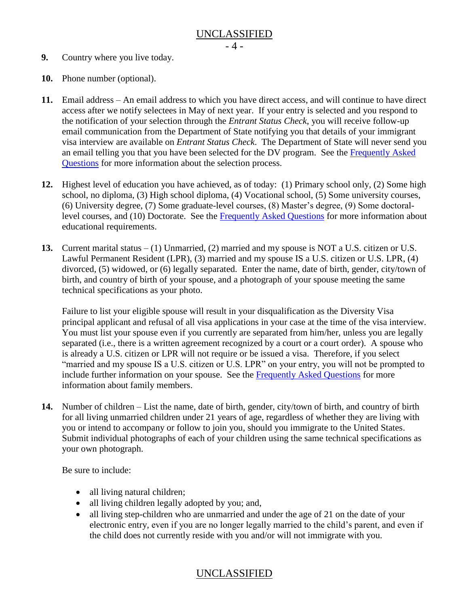- **9.** Country where you live today.
- **10.** Phone number (optional).
- **11.** Email address An email address to which you have direct access, and will continue to have direct access after we notify selectees in May of next year. If your entry is selected and you respond to the notification of your selection through the *Entrant Status Check*, you will receive follow-up email communication from the Department of State notifying you that details of your immigrant visa interview are available on *Entrant Status Check*. The Department of State will never send you an email telling you that you have been selected for the DV program. See the [Frequently Asked](#page-11-0)  [Questions](#page-11-0) for more information about the selection process.
- **12.** Highest level of education you have achieved, as of today: (1) Primary school only, (2) Some high school, no diploma, (3) High school diploma, (4) Vocational school, (5) Some university courses, (6) University degree, (7) Some graduate-level courses, (8) Master's degree, (9) Some doctorallevel courses, and (10) Doctorate. See the [Frequently Asked Questions](#page-8-0) for more information about educational requirements.
- **13.** Current marital status (1) Unmarried, (2) married and my spouse is NOT a U.S. citizen or U.S. Lawful Permanent Resident (LPR), (3) married and my spouse IS a U.S. citizen or U.S. LPR, (4) divorced, (5) widowed, or (6) legally separated. Enter the name, date of birth, gender, city/town of birth, and country of birth of your spouse, and a photograph of your spouse meeting the same technical specifications as your photo.

Failure to list your eligible spouse will result in your disqualification as the Diversity Visa principal applicant and refusal of all visa applications in your case at the time of the visa interview. You must list your spouse even if you currently are separated from him/her, unless you are legally separated (i.e., there is a written agreement recognized by a court or a court order). A spouse who is already a U.S. citizen or LPR will not require or be issued a visa. Therefore, if you select "married and my spouse IS a U.S. citizen or U.S. LPR" on your entry, you will not be prompted to include further information on your spouse. See the [Frequently Asked Questions](#page-9-0) for more information about family members.

**14.** Number of children – List the name, date of birth, gender, city/town of birth, and country of birth for all living unmarried children under 21 years of age, regardless of whether they are living with you or intend to accompany or follow to join you, should you immigrate to the United States. Submit individual photographs of each of your children using the same technical specifications as your own photograph.

Be sure to include:

- all living natural children;
- all living children legally adopted by you; and,
- all living step-children who are unmarried and under the age of 21 on the date of your electronic entry, even if you are no longer legally married to the child's parent, and even if the child does not currently reside with you and/or will not immigrate with you.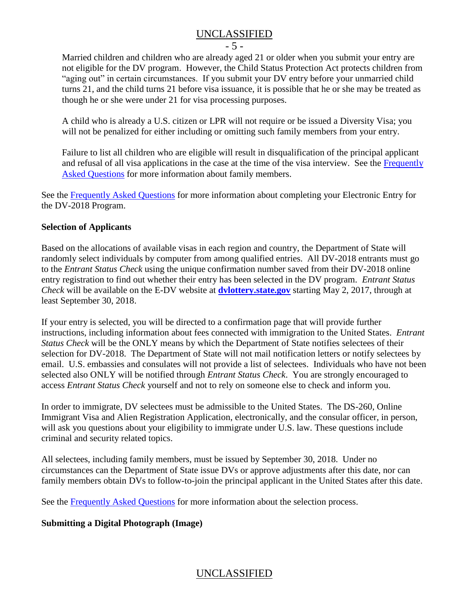- 5 -

Married children and children who are already aged 21 or older when you submit your entry are not eligible for the DV program. However, the Child Status Protection Act protects children from "aging out" in certain circumstances. If you submit your DV entry before your unmarried child turns 21, and the child turns 21 before visa issuance, it is possible that he or she may be treated as though he or she were under 21 for visa processing purposes.

A child who is already a U.S. citizen or LPR will not require or be issued a Diversity Visa; you will not be penalized for either including or omitting such family members from your entry.

Failure to list all children who are eligible will result in disqualification of the principal applicant and refusal of all visa applications in the case at the time of the visa interview. See the [Frequently](#page-9-0)  [Asked Questions](#page-9-0) for more information about family members.

See the [Frequently Asked Questions](#page-8-1) for more information about completing your Electronic Entry for the DV-2018 Program.

### **Selection of Applicants**

Based on the allocations of available visas in each region and country, the Department of State will randomly select individuals by computer from among qualified entries. All DV-2018 entrants must go to the *Entrant Status Check* using the unique confirmation number saved from their DV-2018 online entry registration to find out whether their entry has been selected in the DV program. *Entrant Status Check* will be available on the E-DV website at **[dvlottery.state.gov](http://dvlottery.state.gov/)** starting May 2, 2017, through at least September 30, 2018.

If your entry is selected, you will be directed to a confirmation page that will provide further instructions, including information about fees connected with immigration to the United States. *Entrant Status Check* will be the ONLY means by which the Department of State notifies selectees of their selection for DV-2018. The Department of State will not mail notification letters or notify selectees by email. U.S. embassies and consulates will not provide a list of selectees. Individuals who have not been selected also ONLY will be notified through *Entrant Status Check*. You are strongly encouraged to access *Entrant Status Check* yourself and not to rely on someone else to check and inform you.

In order to immigrate, DV selectees must be admissible to the United States. The DS-260, Online Immigrant Visa and Alien Registration Application, electronically, and the consular officer, in person, will ask you questions about your eligibility to immigrate under U.S. law. These questions include criminal and security related topics.

All selectees, including family members, must be issued by September 30, 2018. Under no circumstances can the Department of State issue DVs or approve adjustments after this date, nor can family members obtain DVs to follow-to-join the principal applicant in the United States after this date.

See the [Frequently Asked Questions](#page-11-0) for more information about the selection process.

## <span id="page-4-0"></span>**Submitting a Digital Photograph (Image)**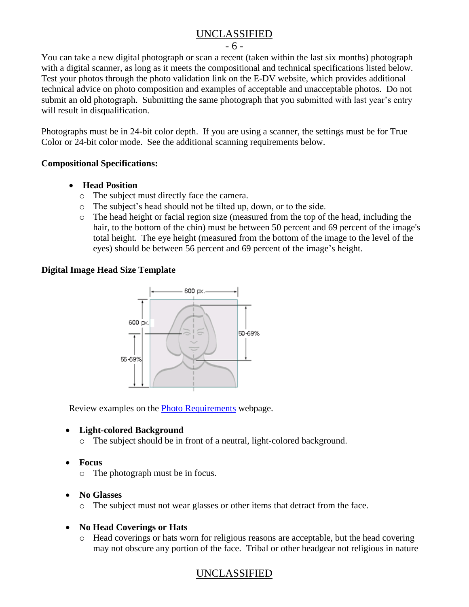- 6 -

You can take a new digital photograph or scan a recent (taken within the last six months) photograph with a digital scanner, as long as it meets the compositional and technical specifications listed below. Test your photos through the photo validation link on the E-DV website, which provides additional technical advice on photo composition and examples of acceptable and unacceptable photos. Do not submit an old photograph. Submitting the same photograph that you submitted with last year's entry will result in disqualification.

Photographs must be in 24-bit color depth. If you are using a scanner, the settings must be for True Color or 24-bit color mode. See the additional scanning requirements below.

### **Compositional Specifications:**

- **Head Position** 
	- o The subject must directly face the camera.
	- o The subject's head should not be tilted up, down, or to the side.
	- o The head height or facial region size (measured from the top of the head, including the hair, to the bottom of the chin) must be between 50 percent and 69 percent of the image's total height. The eye height (measured from the bottom of the image to the level of the eyes) should be between 56 percent and 69 percent of the image's height.

### **Digital Image Head Size Template**



Review examples on the **Photo Requirements** webpage.

### **Light-colored Background**

- o The subject should be in front of a neutral, light-colored background.
- **Focus**
	- o The photograph must be in focus.
- **No Glasses**
	- o The subject must not wear glasses or other items that detract from the face.

## **No Head Coverings or Hats**

o Head coverings or hats worn for religious reasons are acceptable, but the head covering may not obscure any portion of the face. Tribal or other headgear not religious in nature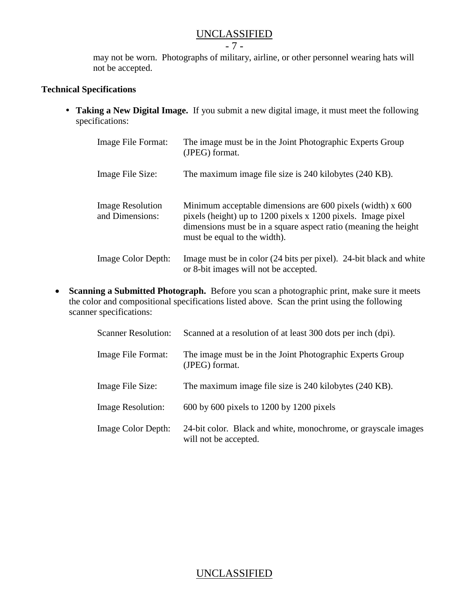- 7 -

may not be worn. Photographs of military, airline, or other personnel wearing hats will not be accepted.

### **Technical Specifications**

 **Taking a New Digital Image.** If you submit a new digital image, it must meet the following specifications:

| Image File Format:                         | The image must be in the Joint Photographic Experts Group<br>(JPEG) format.                                                                                                                                                    |
|--------------------------------------------|--------------------------------------------------------------------------------------------------------------------------------------------------------------------------------------------------------------------------------|
| Image File Size:                           | The maximum image file size is 240 kilobytes (240 KB).                                                                                                                                                                         |
| <b>Image Resolution</b><br>and Dimensions: | Minimum acceptable dimensions are 600 pixels (width) x 600<br>pixels (height) up to 1200 pixels x 1200 pixels. Image pixel<br>dimensions must be in a square aspect ratio (meaning the height)<br>must be equal to the width). |
| Image Color Depth:                         | Image must be in color (24 bits per pixel). 24-bit black and white<br>or 8-bit images will not be accepted.                                                                                                                    |

 **Scanning a Submitted Photograph.** Before you scan a photographic print, make sure it meets the color and compositional specifications listed above. Scan the print using the following scanner specifications:

| <b>Scanner Resolution:</b> | Scanned at a resolution of at least 300 dots per inch (dpi).                            |
|----------------------------|-----------------------------------------------------------------------------------------|
| Image File Format:         | The image must be in the Joint Photographic Experts Group<br>(JPEG) format.             |
| Image File Size:           | The maximum image file size is 240 kilobytes (240 KB).                                  |
| <b>Image Resolution:</b>   | $600$ by $600$ pixels to $1200$ by $1200$ pixels                                        |
| Image Color Depth:         | 24-bit color. Black and white, monochrome, or grayscale images<br>will not be accepted. |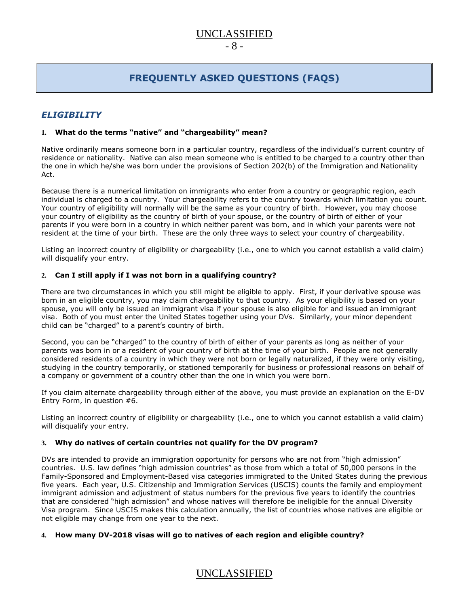### $- 8 -$

# **FREQUENTLY ASKED QUESTIONS (FAQS)**

### <span id="page-7-0"></span>*ELIGIBILITY*

### **1. What do the terms "native" and "chargeability" mean?**

Native ordinarily means someone born in a particular country, regardless of the individual's current country of residence or nationality. Native can also mean someone who is entitled to be charged to a country other than the one in which he/she was born under the provisions of Section 202(b) of the Immigration and Nationality Act.

Because there is a numerical limitation on immigrants who enter from a country or geographic region, each individual is charged to a country. Your chargeability refers to the country towards which limitation you count. Your country of eligibility will normally will be the same as your country of birth. However, you may choose your country of eligibility as the country of birth of your spouse, or the country of birth of either of your parents if you were born in a country in which neither parent was born, and in which your parents were not resident at the time of your birth. These are the only three ways to select your country of chargeability.

Listing an incorrect country of eligibility or chargeability (i.e., one to which you cannot establish a valid claim) will disqualify your entry.

### <span id="page-7-1"></span>**2. Can I still apply if I was not born in a qualifying country?**

There are two circumstances in which you still might be eligible to apply. First, if your derivative spouse was born in an eligible country, you may claim chargeability to that country. As your eligibility is based on your spouse, you will only be issued an immigrant visa if your spouse is also eligible for and issued an immigrant visa. Both of you must enter the United States together using your DVs. Similarly, your minor dependent child can be "charged" to a parent's country of birth.

Second, you can be "charged" to the country of birth of either of your parents as long as neither of your parents was born in or a resident of your country of birth at the time of your birth. People are not generally considered residents of a country in which they were not born or legally naturalized, if they were only visiting, studying in the country temporarily, or stationed temporarily for business or professional reasons on behalf of a company or government of a country other than the one in which you were born.

If you claim alternate chargeability through either of the above, you must provide an explanation on the E-DV Entry Form, in question #6.

Listing an incorrect country of eligibility or chargeability (i.e., one to which you cannot establish a valid claim) will disqualify your entry.

### **3. Why do natives of certain countries not qualify for the DV program?**

DVs are intended to provide an immigration opportunity for persons who are not from "high admission" countries. U.S. law defines "high admission countries" as those from which a total of 50,000 persons in the Family-Sponsored and Employment-Based visa categories immigrated to the United States during the previous five years. Each year, U.S. Citizenship and Immigration Services (USCIS) counts the family and employment immigrant admission and adjustment of status numbers for the previous five years to identify the countries that are considered "high admission" and whose natives will therefore be ineligible for the annual Diversity Visa program. Since USCIS makes this calculation annually, the list of countries whose natives are eligible or not eligible may change from one year to the next.

### **4. How many DV-2018 visas will go to natives of each region and eligible country?**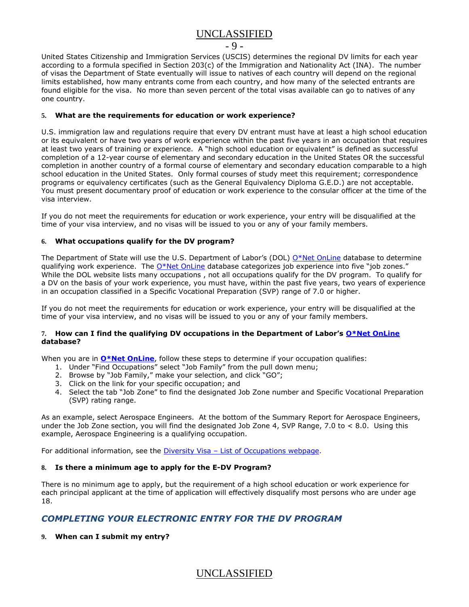#### - 9 -

United States Citizenship and Immigration Services (USCIS) determines the regional DV limits for each year according to a formula specified in Section 203(c) of the Immigration and Nationality Act (INA). The number of visas the Department of State eventually will issue to natives of each country will depend on the regional limits established, how many entrants come from each country, and how many of the selected entrants are found eligible for the visa. No more than seven percent of the total visas available can go to natives of any one country.

### <span id="page-8-0"></span>**5. What are the requirements for education or work experience?**

U.S. immigration law and regulations require that every DV entrant must have at least a high school education or its equivalent or have two years of work experience within the past five years in an occupation that requires at least two years of training or experience. A "high school education or equivalent" is defined as successful completion of a 12-year course of elementary and secondary education in the United States OR the successful completion in another country of a formal course of elementary and secondary education comparable to a high school education in the United States. Only formal courses of study meet this requirement; correspondence programs or equivalency certificates (such as the General Equivalency Diploma G.E.D.) are not acceptable. You must present documentary proof of education or work experience to the consular officer at the time of the visa interview.

If you do not meet the requirements for education or work experience, your entry will be disqualified at the time of your visa interview, and no visas will be issued to you or any of your family members.

#### **6. What occupations qualify for the DV program?**

The Department of State will use the U.S. Department of Labor's (DOL) [O\\*Net OnLine](http://online.onetcenter.org/) database to determine qualifying work experience. The *O\*Net OnLine* database categorizes job experience into five "job zones." While the DOL website lists many occupations , not all occupations qualify for the DV program. To qualify for a DV on the basis of your work experience, you must have, within the past five years, two years of experience in an occupation classified in a Specific Vocational Preparation (SVP) range of 7.0 or higher.

If you do not meet the requirements for education or work experience, your entry will be disqualified at the time of your visa interview, and no visas will be issued to you or any of your family members.

#### 7. How can I find the qualifying DV occupations in the Department of Labor's **[O\\*Net OnLine](http://online.onetcenter.org/) database?**

When you are in **[O\\*Net OnLine](http://online.onetcenter.org/)**, follow these steps to determine if your occupation qualifies:

- 1. Under "Find Occupations" select "Job Family" from the pull down menu;
- 2. Browse by "Job Family," make your selection, and click "GO";
- 3. Click on the link for your specific occupation; and
- 4. Select the tab "Job Zone" to find the designated Job Zone number and Specific Vocational Preparation (SVP) rating range.

As an example, select Aerospace Engineers. At the bottom of the Summary Report for Aerospace Engineers, under the Job Zone section, you will find the designated Job Zone 4, SVP Range, 7.0 to < 8.0. Using this example, Aerospace Engineering is a qualifying occupation.

For additional information, see the Diversity Visa - [List of Occupations webpage.](http://travel.state.gov/content/visas/english/immigrate/diversity-visa/if-you-are-selected/confirm-your-qualifications.html)

### **8. Is there a minimum age to apply for the E-DV Program?**

There is no minimum age to apply, but the requirement of a high school education or work experience for each principal applicant at the time of application will effectively disqualify most persons who are under age 18.

### <span id="page-8-1"></span>*COMPLETING YOUR ELECTRONIC ENTRY FOR THE DV PROGRAM*

**9. When can I submit my entry?**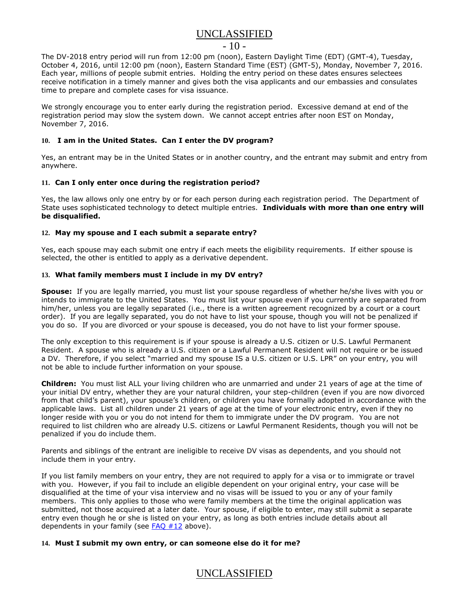#### $-10-$

The DV-2018 entry period will run from 12:00 pm (noon), Eastern Daylight Time (EDT) (GMT-4), Tuesday, October 4, 2016, until 12:00 pm (noon), Eastern Standard Time (EST) (GMT-5), Monday, November 7, 2016. Each year, millions of people submit entries. Holding the entry period on these dates ensures selectees receive notification in a timely manner and gives both the visa applicants and our embassies and consulates time to prepare and complete cases for visa issuance.

We strongly encourage you to enter early during the registration period. Excessive demand at end of the registration period may slow the system down. We cannot accept entries after noon EST on Monday, November 7, 2016.

### **10. I am in the United States. Can I enter the DV program?**

Yes, an entrant may be in the United States or in another country, and the entrant may submit and entry from anywhere.

#### **11. Can I only enter once during the registration period?**

Yes, the law allows only one entry by or for each person during each registration period. The Department of State uses sophisticated technology to detect multiple entries. **Individuals with more than one entry will be disqualified.** 

#### <span id="page-9-1"></span>**12. May my spouse and I each submit a separate entry?**

Yes, each spouse may each submit one entry if each meets the eligibility requirements. If either spouse is selected, the other is entitled to apply as a derivative dependent.

#### <span id="page-9-0"></span>**13. What family members must I include in my DV entry?**

**Spouse:** If you are legally married, you must list your spouse regardless of whether he/she lives with you or intends to immigrate to the United States. You must list your spouse even if you currently are separated from him/her, unless you are legally separated (i.e., there is a written agreement recognized by a court or a court order). If you are legally separated, you do not have to list your spouse, though you will not be penalized if you do so. If you are divorced or your spouse is deceased, you do not have to list your former spouse.

The only exception to this requirement is if your spouse is already a U.S. citizen or U.S. Lawful Permanent Resident.A spouse who is already a U.S. citizen or a Lawful Permanent Resident will not require or be issued a DV. Therefore, if you select "married and my spouse IS a U.S. citizen or U.S. LPR" on your entry, you will not be able to include further information on your spouse.

**Children:** You must list ALL your living children who are unmarried and under 21 years of age at the time of your initial DV entry, whether they are your natural children, your step-children (even if you are now divorced from that child's parent), your spouse's children, or children you have formally adopted in accordance with the applicable laws. List all children under 21 years of age at the time of your electronic entry, even if they no longer reside with you or you do not intend for them to immigrate under the DV program.You are not required to list children who are already U.S. citizens or Lawful Permanent Residents, though you will not be penalized if you do include them.

Parents and siblings of the entrant are ineligible to receive DV visas as dependents, and you should not include them in your entry.

If you list family members on your entry, they are not required to apply for a visa or to immigrate or travel with you. However, if you fail to include an eligible dependent on your original entry, your case will be disqualified at the time of your visa interview and no visas will be issued to you or any of your family members. This only applies to those who were family members at the time the original application was submitted, not those acquired at a later date. Your spouse, if eligible to enter, may still submit a separate entry even though he or she is listed on your entry, as long as both entries include details about all dependents in your family (see [FAQ #12](#page-9-1) above).

### **14. Must I submit my own entry, or can someone else do it for me?**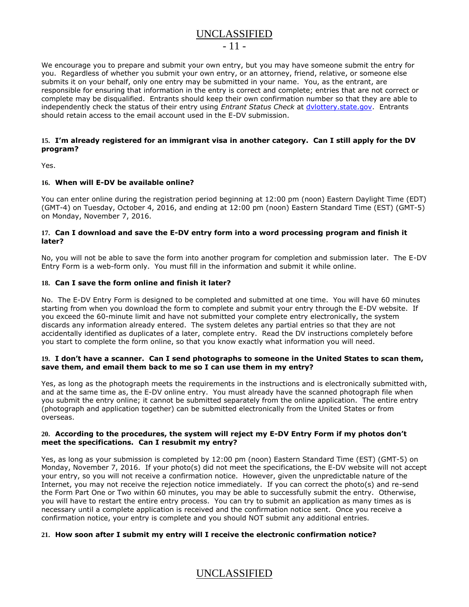### $-11 -$

We encourage you to prepare and submit your own entry, but you may have someone submit the entry for you. Regardless of whether you submit your own entry, or an attorney, friend, relative, or someone else submits it on your behalf, only one entry may be submitted in your name. You, as the entrant, are responsible for ensuring that information in the entry is correct and complete; entries that are not correct or complete may be disqualified. Entrants should keep their own confirmation number so that they are able to independently check the status of their entry using *Entrant Status Check* at [dvlottery.state.gov.](http://dvlottery.state.gov/) Entrants should retain access to the email account used in the E-DV submission.

### **15. I'm already registered for an immigrant visa in another category. Can I still apply for the DV program?**

Yes.

#### **16. When will E-DV be available online?**

You can enter online during the registration period beginning at 12:00 pm (noon) Eastern Daylight Time (EDT) (GMT-4) on Tuesday, October 4, 2016, and ending at 12:00 pm (noon) Eastern Standard Time (EST) (GMT-5) on Monday, November 7, 2016.

#### **17. Can I download and save the E-DV entry form into a word processing program and finish it later?**

No, you will not be able to save the form into another program for completion and submission later. The E-DV Entry Form is a web-form only. You must fill in the information and submit it while online.

#### **18. Can I save the form online and finish it later?**

No. The E-DV Entry Form is designed to be completed and submitted at one time. You will have 60 minutes starting from when you download the form to complete and submit your entry through the E-DV website. If you exceed the 60-minute limit and have not submitted your complete entry electronically, the system discards any information already entered. The system deletes any partial entries so that they are not accidentally identified as duplicates of a later, complete entry. Read the DV instructions completely before you start to complete the form online, so that you know exactly what information you will need.

#### **19. I don't have a scanner. Can I send photographs to someone in the United States to scan them, save them, and email them back to me so I can use them in my entry?**

Yes, as long as the photograph meets the requirements in the instructions and is electronically submitted with, and at the same time as, the E-DV online entry. You must already have the scanned photograph file when you submit the entry online; it cannot be submitted separately from the online application. The entire entry (photograph and application together) can be submitted electronically from the United States or from overseas.

#### **20. According to the procedures, the system will reject my E-DV Entry Form if my photos don't meet the specifications. Can I resubmit my entry?**

Yes, as long as your submission is completed by 12:00 pm (noon) Eastern Standard Time (EST) (GMT-5) on Monday, November 7, 2016. If your photo(s) did not meet the specifications, the E-DV website will not accept your entry, so you will not receive a confirmation notice. However, given the unpredictable nature of the Internet, you may not receive the rejection notice immediately. If you can correct the photo(s) and re-send the Form Part One or Two within 60 minutes, you may be able to successfully submit the entry. Otherwise, you will have to restart the entire entry process. You can try to submit an application as many times as is necessary until a complete application is received and the confirmation notice sent. Once you receive a confirmation notice, your entry is complete and you should NOT submit any additional entries.

### **21. How soon after I submit my entry will I receive the electronic confirmation notice?**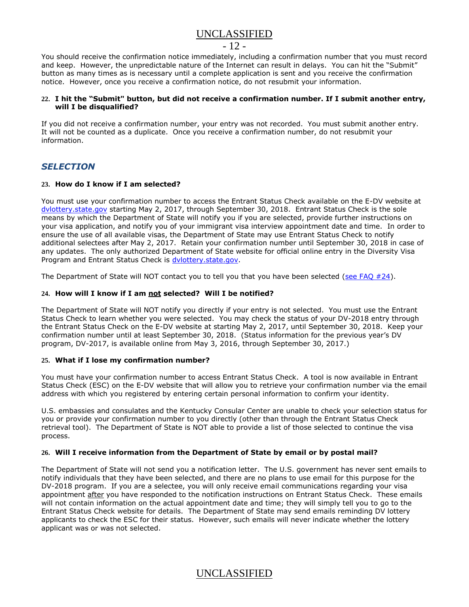### $-12-$

You should receive the confirmation notice immediately, including a confirmation number that you must record and keep. However, the unpredictable nature of the Internet can result in delays. You can hit the "Submit" button as many times as is necessary until a complete application is sent and you receive the confirmation notice. However, once you receive a confirmation notice, do not resubmit your information.

### **22. I hit the "Submit" button, but did not receive a confirmation number. If I submit another entry, will I be disqualified?**

If you did not receive a confirmation number, your entry was not recorded. You must submit another entry. It will not be counted as a duplicate. Once you receive a confirmation number, do not resubmit your information.

### <span id="page-11-0"></span>*SELECTION*

#### **23. How do I know if I am selected?**

You must use your confirmation number to access the Entrant Status Check available on the E-DV website at [dvlottery.state.gov](http://dvlottery.state.gov/) starting May 2, 2017, through September 30, 2018. Entrant Status Check is the sole means by which the Department of State will notify you if you are selected, provide further instructions on your visa application, and notify you of your immigrant visa interview appointment date and time. In order to ensure the use of all available visas, the Department of State may use Entrant Status Check to notify additional selectees after May 2, 2017. Retain your confirmation number until September 30, 2018 in case of any updates. The only authorized Department of State website for official online entry in the Diversity Visa Program and Entrant Status Check is [dvlottery.state.gov.](http://dvlottery.state.gov/)

The Department of State will NOT contact you to tell you that you have been selected (see FAQ  $#24$ ).

### <span id="page-11-1"></span>**24. How will I know if I am not selected? Will I be notified?**

The Department of State will NOT notify you directly if your entry is not selected. You must use the Entrant Status Check to learn whether you were selected. You may check the status of your DV-2018 entry through the Entrant Status Check on the E-DV website at starting May 2, 2017, until September 30, 2018. Keep your confirmation number until at least September 30, 2018. (Status information for the previous year's DV program, DV-2017, is available online from May 3, 2016, through September 30, 2017.)

### **25. What if I lose my confirmation number?**

You must have your confirmation number to access Entrant Status Check. A tool is now available in Entrant Status Check (ESC) on the E-DV website that will allow you to retrieve your confirmation number via the email address with which you registered by entering certain personal information to confirm your identity.

U.S. embassies and consulates and the Kentucky Consular Center are unable to check your selection status for you or provide your confirmation number to you directly (other than through the Entrant Status Check retrieval tool). The Department of State is NOT able to provide a list of those selected to continue the visa process.

### **26. Will I receive information from the Department of State by email or by postal mail?**

The Department of State will not send you a notification letter. The U.S. government has never sent emails to notify individuals that they have been selected, and there are no plans to use email for this purpose for the DV-2018 program. If you are a selectee, you will only receive email communications regarding your visa appointment after you have responded to the notification instructions on Entrant Status Check. These emails will not contain information on the actual appointment date and time; they will simply tell you to go to the Entrant Status Check website for details. The Department of State may send emails reminding DV lottery applicants to check the ESC for their status. However, such emails will never indicate whether the lottery applicant was or was not selected.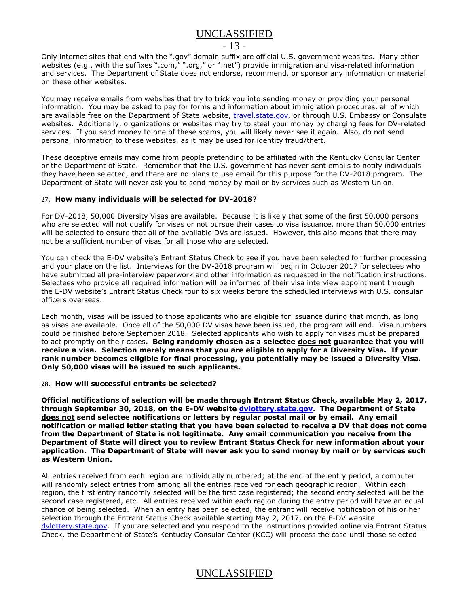### $-13 -$

Only internet sites that end with the ".gov" domain suffix are official U.S. government websites. Many other websites (e.g., with the suffixes ".com," ".org," or ".net") provide immigration and visa-related information and services. The Department of State does not endorse, recommend, or sponsor any information or material on these other websites.

You may receive emails from websites that try to trick you into sending money or providing your personal information. You may be asked to pay for forms and information about immigration procedures, all of which are available free on the Department of State website, [travel.state.gov,](https://travel.state.gov/content/visas/en.html) or through U.S. Embassy or Consulate websites. Additionally, organizations or websites may try to steal your money by charging fees for DV-related services. If you send money to one of these scams, you will likely never see it again. Also, do not send personal information to these websites, as it may be used for identity fraud/theft.

These deceptive emails may come from people pretending to be affiliated with the Kentucky Consular Center or the Department of State. Remember that the U.S. government has never sent emails to notify individuals they have been selected, and there are no plans to use email for this purpose for the DV-2018 program. The Department of State will never ask you to send money by mail or by services such as Western Union.

#### **27. How many individuals will be selected for DV-2018?**

For DV-2018, 50,000 Diversity Visas are available. Because it is likely that some of the first 50,000 persons who are selected will not qualify for visas or not pursue their cases to visa issuance, more than 50,000 entries will be selected to ensure that all of the available DVs are issued. However, this also means that there may not be a sufficient number of visas for all those who are selected.

You can check the E-DV website's Entrant Status Check to see if you have been selected for further processing and your place on the list. Interviews for the DV-2018 program will begin in October 2017 for selectees who have submitted all pre-interview paperwork and other information as requested in the notification instructions. Selectees who provide all required information will be informed of their visa interview appointment through the E-DV website's Entrant Status Check four to six weeks before the scheduled interviews with U.S. consular officers overseas.

Each month, visas will be issued to those applicants who are eligible for issuance during that month, as long as visas are available. Once all of the 50,000 DV visas have been issued, the program will end. Visa numbers could be finished before September 2018. Selected applicants who wish to apply for visas must be prepared to act promptly on their cases**. Being randomly chosen as a selectee does not guarantee that you will receive a visa. Selection merely means that you are eligible to apply for a Diversity Visa. If your rank number becomes eligible for final processing, you potentially may be issued a Diversity Visa. Only 50,000 visas will be issued to such applicants.**

#### **28. How will successful entrants be selected?**

**Official notifications of selection will be made through Entrant Status Check, available May 2, 2017, through September 30, 2018, on the E-DV website [dvlottery.state.gov.](http://dvlottery.state.gov/) The Department of State does not send selectee notifications or letters by regular postal mail or by email. Any email notification or mailed letter stating that you have been selected to receive a DV that does not come from the Department of State is not legitimate. Any email communication you receive from the Department of State will direct you to review Entrant Status Check for new information about your application. The Department of State will never ask you to send money by mail or by services such as Western Union.**

All entries received from each region are individually numbered; at the end of the entry period, a computer will randomly select entries from among all the entries received for each geographic region. Within each region, the first entry randomly selected will be the first case registered; the second entry selected will be the second case registered, etc. All entries received within each region during the entry period will have an equal chance of being selected. When an entry has been selected, the entrant will receive notification of his or her selection through the Entrant Status Check available starting May 2, 2017, on the E-DV website [dvlottery.state.gov.](http://dvlottery.state.gov/) If you are selected and you respond to the instructions provided online via Entrant Status Check, the Department of State's Kentucky Consular Center (KCC) will process the case until those selected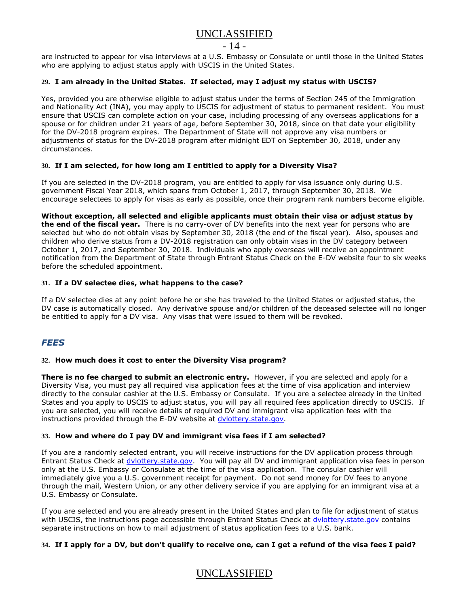### $-14-$

are instructed to appear for visa interviews at a U.S. Embassy or Consulate or until those in the United States who are applying to adjust status apply with USCIS in the United States.

### **29. I am already in the United States. If selected, may I adjust my status with USCIS?**

Yes, provided you are otherwise eligible to adjust status under the terms of Section 245 of the Immigration and Nationality Act (INA), you may apply to USCIS for adjustment of status to permanent resident. You must ensure that USCIS can complete action on your case, including processing of any overseas applications for a spouse or for children under 21 years of age, before September 30, 2018, since on that date your eligibility for the DV-2018 program expires. The Departnment of State will not approve any visa numbers or adjustments of status for the DV-2018 program after midnight EDT on September 30, 2018, under any circumstances.

#### **30. If I am selected, for how long am I entitled to apply for a Diversity Visa?**

If you are selected in the DV-2018 program, you are entitled to apply for visa issuance only during U.S. government Fiscal Year 2018, which spans from October 1, 2017, through September 30, 2018. We encourage selectees to apply for visas as early as possible, once their program rank numbers become eligible.

**Without exception, all selected and eligible applicants must obtain their visa or adjust status by the end of the fiscal year.** There is no carry-over of DV benefits into the next year for persons who are selected but who do not obtain visas by September 30, 2018 (the end of the fiscal year). Also, spouses and children who derive status from a DV-2018 registration can only obtain visas in the DV category between October 1, 2017, and September 30, 2018. Individuals who apply overseas will receive an appointment notification from the Department of State through Entrant Status Check on the E-DV website four to six weeks before the scheduled appointment.

#### **31. If a DV selectee dies, what happens to the case?**

If a DV selectee dies at any point before he or she has traveled to the United States or adjusted status, the DV case is automatically closed. Any derivative spouse and/or children of the deceased selectee will no longer be entitled to apply for a DV visa. Any visas that were issued to them will be revoked.

### *FEES*

#### **32. How much does it cost to enter the Diversity Visa program?**

**There is no fee charged to submit an electronic entry.** However, if you are selected and apply for a Diversity Visa, you must pay all required visa application fees at the time of visa application and interview directly to the consular cashier at the U.S. Embassy or Consulate. If you are a selectee already in the United States and you apply to USCIS to adjust status, you will pay all required fees application directly to USCIS. If you are selected, you will receive details of required DV and immigrant visa application fees with the instructions provided through the E-DV website at [dvlottery.state.gov.](http://dvlottery.state.gov/)

#### **33. How and where do I pay DV and immigrant visa fees if I am selected?**

If you are a randomly selected entrant, you will receive instructions for the DV application process through Entrant Status Check at [dvlottery.state.gov.](http://dvlottery.state.gov/) You will pay all DV and immigrant application visa fees in person only at the U.S. Embassy or Consulate at the time of the visa application. The consular cashier will immediately give you a U.S. government receipt for payment. Do not send money for DV fees to anyone through the mail, Western Union, or any other delivery service if you are applying for an immigrant visa at a U.S. Embassy or Consulate.

If you are selected and you are already present in the United States and plan to file for adjustment of status with USCIS, the instructions page accessible through Entrant Status Check at dylottery.state.gov contains separate instructions on how to mail adjustment of status application fees to a U.S. bank.

#### **34. If I apply for a DV, but don't qualify to receive one, can I get a refund of the visa fees I paid?**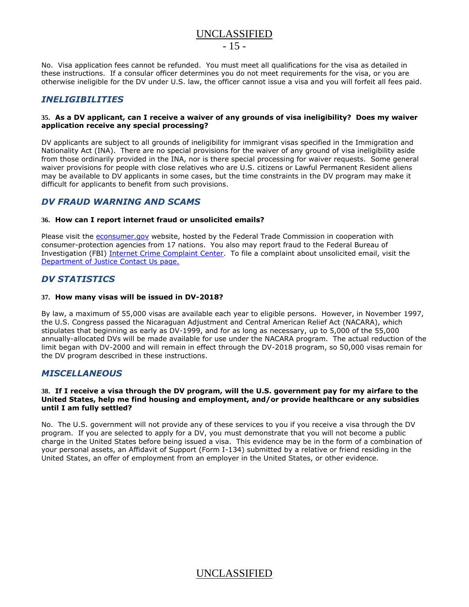### UNCLASSIFIED  $-15 -$

No. Visa application fees cannot be refunded. You must meet all qualifications for the visa as detailed in these instructions. If a consular officer determines you do not meet requirements for the visa, or you are otherwise ineligible for the DV under U.S. law, the officer cannot issue a visa and you will forfeit all fees paid.

### *INELIGIBILITIES*

#### **35. As a DV applicant, can I receive a waiver of any grounds of visa ineligibility? Does my waiver application receive any special processing?**

DV applicants are subject to all grounds of ineligibility for immigrant visas specified in the Immigration and Nationality Act (INA).There are no special provisions for the waiver of any ground of visa ineligibility aside from those ordinarily provided in the INA, nor is there special processing for waiver requests. Some general waiver provisions for people with close relatives who are U.S. citizens or Lawful Permanent Resident aliens may be available to DV applicants in some cases, but the time constraints in the DV program may make it difficult for applicants to benefit from such provisions.

### <span id="page-14-0"></span>*DV FRAUD WARNING AND SCAMS*

### **36. How can I report internet fraud or unsolicited emails?**

Please visit the [econsumer.gov](http://econsumer.gov/) website, hosted by the Federal Trade Commission in cooperation with consumer-protection agencies from 17 nations. You also may report fraud to the Federal Bureau of Investigation (FBI) [Internet Crime Complaint Center.](http://www.ic3.gov/) To file a complaint about unsolicited email, visit the [Department of Justice Contact Us page.](http://www.usdoj.gov/spam.htm)

### *DV STATISTICS*

#### **37. How many visas will be issued in DV-2018?**

By law, a maximum of 55,000 visas are available each year to eligible persons. However, in November 1997, the U.S. Congress passed the Nicaraguan Adjustment and Central American Relief Act (NACARA), which stipulates that beginning as early as DV-1999, and for as long as necessary, up to 5,000 of the 55,000 annually-allocated DVs will be made available for use under the NACARA program. The actual reduction of the limit began with DV-2000 and will remain in effect through the DV-2018 program, so 50,000 visas remain for the DV program described in these instructions.

### *MISCELLANEOUS*

#### **38. If I receive a visa through the DV program, will the U.S. government pay for my airfare to the United States, help me find housing and employment, and/or provide healthcare or any subsidies until I am fully settled?**

No. The U.S. government will not provide any of these services to you if you receive a visa through the DV program. If you are selected to apply for a DV, you must demonstrate that you will not become a public charge in the United States before being issued a visa. This evidence may be in the form of a combination of your personal assets, an Affidavit of Support (Form I-134) submitted by a relative or friend residing in the United States, an offer of employment from an employer in the United States, or other evidence.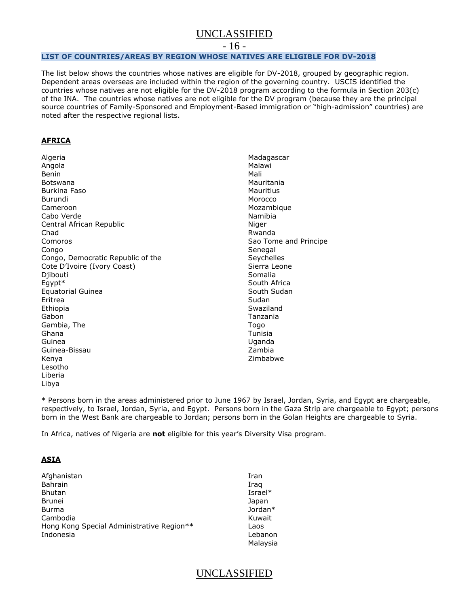- 16 -

#### <span id="page-15-0"></span>**LIST OF COUNTRIES/AREAS BY REGION WHOSE NATIVES ARE ELIGIBLE FOR DV-2018**

The list below shows the countries whose natives are eligible for DV-2018, grouped by geographic region. Dependent areas overseas are included within the region of the governing country. USCIS identified the countries whose natives are not eligible for the DV-2018 program according to the formula in Section 203(c) of the INA. The countries whose natives are not eligible for the DV program (because they are the principal source countries of Family-Sponsored and Employment-Based immigration or "high-admission" countries) are noted after the respective regional lists.

### **AFRICA**

Algeria Angola Benin Botswana Burkina Faso Burundi Cameroon Cabo Verde Central African Republic Chad Comoros Congo Congo, Democratic Republic of the Cote D'Ivoire (Ivory Coast) Djibouti Egypt\* Equatorial Guinea Eritrea Ethiopia Gabon Gambia, The Ghana Guinea Guinea-Bissau Kenya Lesotho Liberia Libya

Madagascar Malawi Mali Mauritania **Mauritius** Morocco Mozambique Namibia Niger Rwanda Sao Tome and Principe Senegal Seychelles Sierra Leone Somalia South Africa South Sudan Sudan Swaziland Tanzania Togo Tunisia Uganda Zambia Zimbabwe

\* Persons born in the areas administered prior to June 1967 by Israel, Jordan, Syria, and Egypt are chargeable, respectively, to Israel, Jordan, Syria, and Egypt. Persons born in the Gaza Strip are chargeable to Egypt; persons born in the West Bank are chargeable to Jordan; persons born in the Golan Heights are chargeable to Syria.

In Africa, natives of Nigeria are **not** eligible for this year's Diversity Visa program.

### **ASIA**

| Afghanistan                               | Iran     |
|-------------------------------------------|----------|
| <b>Bahrain</b>                            | Iraq     |
| <b>Bhutan</b>                             | Israel*  |
| <b>Brunei</b>                             | Japan    |
| Burma                                     | Jordan*  |
| Cambodia                                  | Kuwait   |
| Hong Kong Special Administrative Region** | Laos     |
| Indonesia                                 | Lebanon  |
|                                           | Malaysia |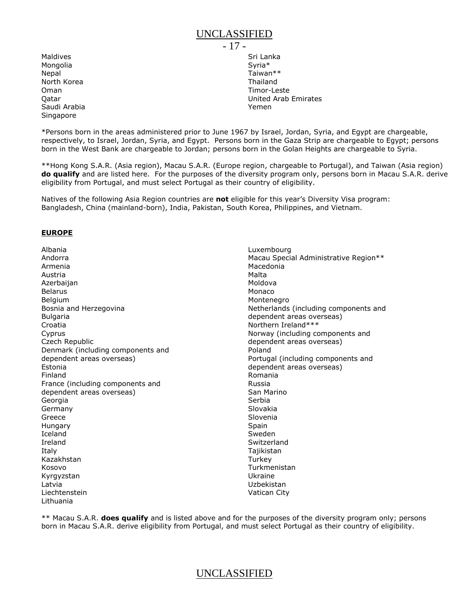Maldives Mongolia **Nepal** North Korea Oman **Oatar** Saudi Arabia Singapore

- 17 - Sri Lanka Syria\* Taiwan\*\* Thailand Timor-Leste United Arab Emirates Yemen

\*Persons born in the areas administered prior to June 1967 by Israel, Jordan, Syria, and Egypt are chargeable, respectively, to Israel, Jordan, Syria, and Egypt. Persons born in the Gaza Strip are chargeable to Egypt; persons born in the West Bank are chargeable to Jordan; persons born in the Golan Heights are chargeable to Syria.

\*\*Hong Kong S.A.R. (Asia region), Macau S.A.R. (Europe region, chargeable to Portugal), and Taiwan (Asia region) **do qualify** and are listed here. For the purposes of the diversity program only, persons born in Macau S.A.R. derive eligibility from Portugal, and must select Portugal as their country of eligibility.

Natives of the following Asia Region countries are **not** eligible for this year's Diversity Visa program: Bangladesh, China (mainland-born), India, Pakistan, South Korea, Philippines, and Vietnam.

#### **EUROPE**

Albania Andorra Armenia Austria Azerbaijan Belarus Belgium Bosnia and Herzegovina Bulgaria Croatia Cyprus Czech Republic Denmark (including components and dependent areas overseas) Estonia Finland France (including components and dependent areas overseas) Georgia Germany Greece Hungary Iceland Ireland Italy Kazakhstan Kosovo Kyrgyzstan Latvia Liechtenstein Lithuania

Luxembourg Macau Special Administrative Region\*\* Macedonia Malta Moldova Monaco Montenegro Netherlands (including components and dependent areas overseas) Northern Ireland\*\*\* Norway (including components and dependent areas overseas) Poland Portugal (including components and dependent areas overseas) Romania Russia San Marino Serbia Slovakia Slovenia Spain Sweden Switzerland Tajikistan **Turkey** Turkmenistan Ukraine Uzbekistan Vatican City

\*\* Macau S.A.R. **does qualify** and is listed above and for the purposes of the diversity program only; persons born in Macau S.A.R. derive eligibility from Portugal, and must select Portugal as their country of eligibility.